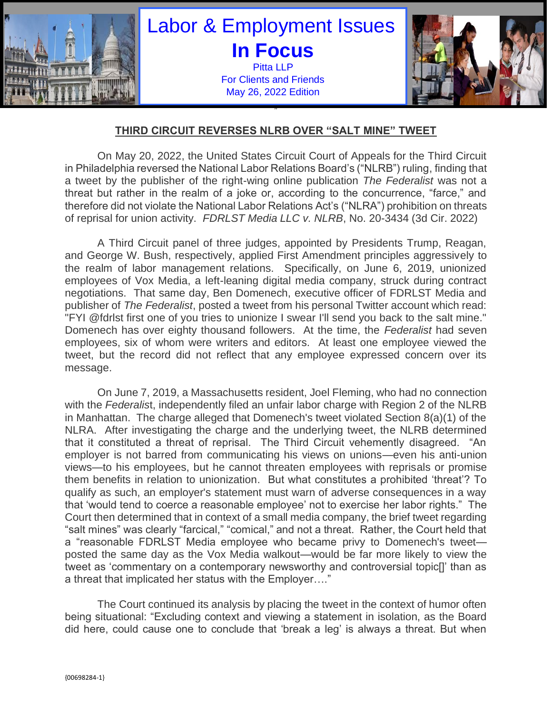

## **THIRD CIRCUIT REVERSES NLRB OVER "SALT MINE" TWEET**

On May 20, 2022, the United States Circuit Court of Appeals for the Third Circuit in Philadelphia reversed the National Labor Relations Board's ("NLRB") ruling, finding that a tweet by the publisher of the right-wing online publication *The Federalist* was not a threat but rather in the realm of a joke or, according to the concurrence, "farce," and therefore did not violate the National Labor Relations Act's ("NLRA") prohibition on threats of reprisal for union activity. *FDRLST Media LLC v. NLRB*, No. 20-3434 (3d Cir. 2022)

A Third Circuit panel of three judges, appointed by Presidents Trump, Reagan, and George W. Bush, respectively, applied First Amendment principles aggressively to the realm of labor management relations. Specifically, on June 6, 2019, unionized employees of Vox Media, a left-leaning digital media company, struck during contract negotiations. That same day, Ben Domenech, executive officer of FDRLST Media and publisher of *The Federalist*, posted a tweet from his personal Twitter account which read: "FYI @fdrlst first one of you tries to unionize I swear I'll send you back to the salt mine." Domenech has over eighty thousand followers. At the time, the *Federalist* had seven employees, six of whom were writers and editors. At least one employee viewed the tweet, but the record did not reflect that any employee expressed concern over its message.

On June 7, 2019, a Massachusetts resident, Joel Fleming, who had no connection with the *Federalis*t, independently filed an unfair labor charge with Region 2 of the NLRB in Manhattan. The charge alleged that Domenech's tweet violated Section 8(a)(1) of the NLRA. After investigating the charge and the underlying tweet, the NLRB determined that it constituted a threat of reprisal. The Third Circuit vehemently disagreed. "An employer is not barred from communicating his views on unions—even his anti-union views—to his employees, but he cannot threaten employees with reprisals or promise them benefits in relation to unionization. But what constitutes a prohibited 'threat'? To qualify as such, an employer's statement must warn of adverse consequences in a way that 'would tend to coerce a reasonable employee' not to exercise her labor rights." The Court then determined that in context of a small media company, the brief tweet regarding "salt mines" was clearly "farcical," "comical," and not a threat. Rather, the Court held that a "reasonable FDRLST Media employee who became privy to Domenech's tweet posted the same day as the Vox Media walkout—would be far more likely to view the tweet as 'commentary on a contemporary newsworthy and controversial topic[]' than as a threat that implicated her status with the Employer…."

The Court continued its analysis by placing the tweet in the context of humor often being situational: "Excluding context and viewing a statement in isolation, as the Board did here, could cause one to conclude that 'break a leg' is always a threat. But when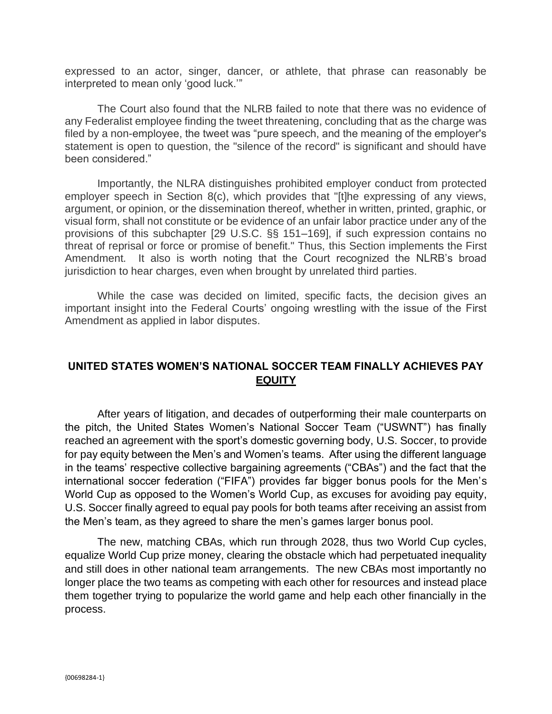expressed to an actor, singer, dancer, or athlete, that phrase can reasonably be interpreted to mean only 'good luck.'"

The Court also found that the NLRB failed to note that there was no evidence of any Federalist employee finding the tweet threatening, concluding that as the charge was filed by a non-employee, the tweet was "pure speech, and the meaning of the employer's statement is open to question, the "silence of the record" is significant and should have been considered."

Importantly, the NLRA distinguishes prohibited employer conduct from protected employer speech in Section 8(c), which provides that "[t]he expressing of any views, argument, or opinion, or the dissemination thereof, whether in written, printed, graphic, or visual form, shall not constitute or be evidence of an unfair labor practice under any of the provisions of this subchapter [29 U.S.C. §§ 151–169], if such expression contains no threat of reprisal or force or promise of benefit." Thus, this Section implements the First Amendment. It also is worth noting that the Court recognized the NLRB's broad jurisdiction to hear charges, even when brought by unrelated third parties.

While the case was decided on limited, specific facts, the decision gives an important insight into the Federal Courts' ongoing wrestling with the issue of the First Amendment as applied in labor disputes.

## **UNITED STATES WOMEN'S NATIONAL SOCCER TEAM FINALLY ACHIEVES PAY EQUITY**

After years of litigation, and decades of outperforming their male counterparts on the pitch, the United States Women's National Soccer Team ("USWNT") has finally reached an agreement with the sport's domestic governing body, U.S. Soccer, to provide for pay equity between the Men's and Women's teams. After using the different language in the teams' respective collective bargaining agreements ("CBAs") and the fact that the international soccer federation ("FIFA") provides far bigger bonus pools for the Men's World Cup as opposed to the Women's World Cup, as excuses for avoiding pay equity, U.S. Soccer finally agreed to equal pay pools for both teams after receiving an assist from the Men's team, as they agreed to share the men's games larger bonus pool.

The new, matching CBAs, which run through 2028, thus two World Cup cycles, equalize World Cup prize money, clearing the obstacle which had perpetuated inequality and still does in other national team arrangements. The new CBAs most importantly no longer place the two teams as competing with each other for resources and instead place them together trying to popularize the world game and help each other financially in the process.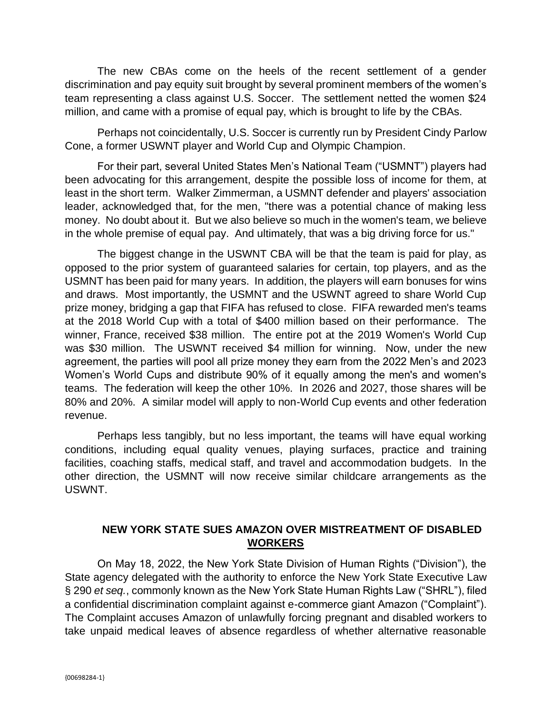The new CBAs come on the heels of the recent settlement of a gender discrimination and pay equity suit brought by several prominent members of the women's team representing a class against U.S. Soccer. The settlement netted the women \$24 million, and came with a promise of equal pay, which is brought to life by the CBAs.

Perhaps not coincidentally, U.S. Soccer is currently run by President Cindy Parlow Cone, a former USWNT player and World Cup and Olympic Champion.

For their part, several United States Men's National Team ("USMNT") players had been advocating for this arrangement, despite the possible loss of income for them, at least in the short term. Walker Zimmerman, a USMNT defender and players' association leader, acknowledged that, for the men, "there was a potential chance of making less money. No doubt about it. But we also believe so much in the women's team, we believe in the whole premise of equal pay. And ultimately, that was a big driving force for us."

The biggest change in the USWNT CBA will be that the team is paid for play, as opposed to the prior system of guaranteed salaries for certain, top players, and as the USMNT has been paid for many years. In addition, the players will earn bonuses for wins and draws. Most importantly, the USMNT and the USWNT agreed to share World Cup prize money, bridging a gap that FIFA has refused to close. FIFA rewarded men's teams at the 2018 World Cup with a total of \$400 million based on their performance. The winner, France, received \$38 million. The entire pot at the 2019 Women's World Cup was \$30 million. The USWNT received \$4 million for winning. Now, under the new agreement, the parties will pool all prize money they earn from the 2022 Men's and 2023 Women's World Cups and distribute 90% of it equally among the men's and women's teams. The federation will keep the other 10%. In 2026 and 2027, those shares will be 80% and 20%. A similar model will apply to non-World Cup events and other federation revenue.

Perhaps less tangibly, but no less important, the teams will have equal working conditions, including equal quality venues, playing surfaces, practice and training facilities, coaching staffs, medical staff, and travel and accommodation budgets. In the other direction, the USMNT will now receive similar childcare arrangements as the USWNT.

## **NEW YORK STATE SUES AMAZON OVER MISTREATMENT OF DISABLED WORKERS**

On May 18, 2022, the New York State Division of Human Rights ("Division"), the State agency delegated with the authority to enforce the New York State Executive Law § 290 *et seq.*, commonly known as the New York State Human Rights Law ("SHRL"), filed a confidential discrimination complaint against e-commerce giant Amazon ("Complaint"). The Complaint accuses Amazon of unlawfully forcing pregnant and disabled workers to take unpaid medical leaves of absence regardless of whether alternative reasonable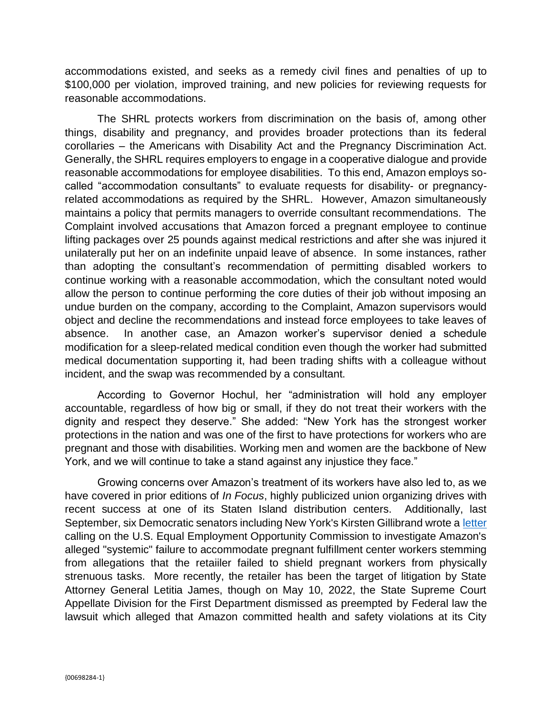accommodations existed, and seeks as a remedy civil fines and penalties of up to \$100,000 per violation, improved training, and new policies for reviewing requests for reasonable accommodations.

The SHRL protects workers from discrimination on the basis of, among other things, disability and pregnancy, and provides broader protections than its federal corollaries – the Americans with Disability Act and the Pregnancy Discrimination Act. Generally, the SHRL requires employers to engage in a cooperative dialogue and provide reasonable accommodations for employee disabilities. To this end, Amazon employs socalled "accommodation consultants" to evaluate requests for disability- or pregnancyrelated accommodations as required by the SHRL. However, Amazon simultaneously maintains a policy that permits managers to override consultant recommendations. The Complaint involved accusations that Amazon forced a pregnant employee to continue lifting packages over 25 pounds against medical restrictions and after she was injured it unilaterally put her on an indefinite unpaid leave of absence. In some instances, rather than adopting the consultant's recommendation of permitting disabled workers to continue working with a reasonable accommodation, which the consultant noted would allow the person to continue performing the core duties of their job without imposing an undue burden on the company, according to the Complaint, Amazon supervisors would object and decline the recommendations and instead force employees to take leaves of absence. In another case, an Amazon worker's supervisor denied a schedule modification for a sleep-related medical condition even though the worker had submitted medical documentation supporting it, had been trading shifts with a colleague without incident, and the swap was recommended by a consultant.

According to Governor Hochul, her "administration will hold any employer accountable, regardless of how big or small, if they do not treat their workers with the dignity and respect they deserve." She added: "New York has the strongest worker protections in the nation and was one of the first to have protections for workers who are pregnant and those with disabilities. Working men and women are the backbone of New York, and we will continue to take a stand against any injustice they face."

Growing concerns over Amazon's treatment of its workers have also led to, as we have covered in prior editions of *In Focus*, highly publicized union organizing drives with recent success at one of its Staten Island distribution centers. Additionally, last September, six Democratic senators including New York's Kirsten Gillibrand wrote a [letter](https://www.bloomberg.com/news/articles/2021-09-10/amazon-s-treatment-of-pregnant-workers-targeted-by-u-s-senators) calling on the U.S. Equal Employment Opportunity Commission to investigate Amazon's alleged "systemic" failure to accommodate pregnant fulfillment center workers stemming from allegations that the retaiiler failed to shield pregnant workers from physically strenuous tasks. More recently, the retailer has been the target of litigation by State Attorney General Letitia James, though on May 10, 2022, the State Supreme Court Appellate Division for the First Department dismissed as preempted by Federal law the lawsuit which alleged that Amazon committed health and safety violations at its City